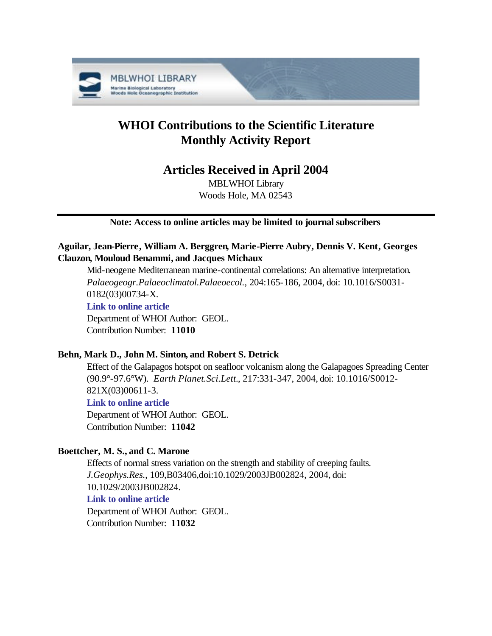

# **WHOI Contributions to the Scientific Literature Monthly Activity Report**

## **Articles Received in April 2004**

MBLWHOI Library Woods Hole, MA 02543

## **Note: Access to online articles may be limited to journal subscribers**

## **Aguilar, Jean-Pierre, William A. Berggren, Marie-Pierre Aubry, Dennis V. Kent, Georges Clauzon, Mouloud Benammi, and Jacques Michaux**

Mid-neogene Mediterranean marine-continental correlations: An alternative interpretation. *Palaeogeogr.Palaeoclimatol.Palaeoecol.*, 204:165-186, 2004, doi: 10.1016/S0031- 0182(03)00734-X. **[Link to online article](http://dx.doi.org/10.1016/S0031-0182(03)00734-X)** Department of WHOI Author: GEOL.

Contribution Number: **11010**

## **Behn, Mark D., John M. Sinton, and Robert S. Detrick**

Effect of the Galapagos hotspot on seafloor volcanism along the Galapagoes Spreading Center (90.9°-97.6°W). *Earth Planet.Sci.Lett.*, 217:331-347, 2004, doi: 10.1016/S0012- 821X(03)00611-3.

## **[Link to online article](http://dx.doi.org/10.1016/S0012-821X(03)00611-3)**

Department of WHOI Author: GEOL. Contribution Number: **11042**

## **Boettcher, M. S., and C. Marone**

Effects of normal stress variation on the strength and stability of creeping faults. *J.Geophys.Res.*, 109,B03406,doi:10.1029/2003JB002824, 2004, doi: 10.1029/2003JB002824. **[Link to online article](http://dx.doi.org/10.1029/2003JB002824)**

Department of WHOI Author: GEOL. Contribution Number: **11032**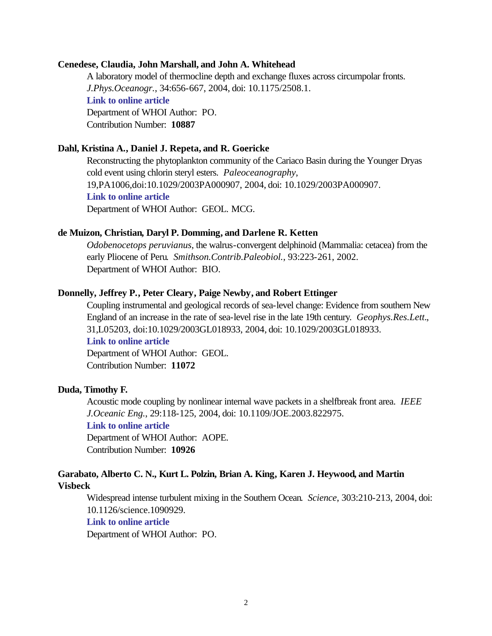#### **Cenedese, Claudia, John Marshall, and John A. Whitehead**

A laboratory model of thermocline depth and exchange fluxes across circumpolar fronts. *J.Phys.Oceanogr.*, 34:656-667, 2004, doi: 10.1175/2508.1. **[Link to online article](http://dx.doi.org/10.1175/2508.1)** Department of WHOI Author: PO. Contribution Number: **10887**

#### **Dahl, Kristina A., Daniel J. Repeta, and R. Goericke**

Reconstructing the phytoplankton community of the Cariaco Basin during the Younger Dryas cold event using chlorin steryl esters. *Paleoceanography*, 19,PA1006,doi:10.1029/2003PA000907, 2004, doi: 10.1029/2003PA000907. **[Link to online article](http://dx.doi.org/10.1029/2003PA000907)** Department of WHOI Author: GEOL. MCG.

#### **de Muizon, Christian, Daryl P. Domming, and Darlene R. Ketten**

*Odobenocetops peruvianus*, the walrus-convergent delphinoid (Mammalia: cetacea) from the early Pliocene of Peru. *Smithson.Contrib.Paleobiol.*, 93:223-261, 2002. Department of WHOI Author: BIO.

#### **Donnelly, Jeffrey P., Peter Cleary, Paige Newby, and Robert Ettinger**

Coupling instrumental and geological records of sea-level change: Evidence from southern New England of an increase in the rate of sea-level rise in the late 19th century. *Geophys.Res.Lett.*, 31,L05203, doi:10.1029/2003GL018933, 2004, doi: 10.1029/2003GL018933.

## **[Link to online article](http://dx.doi.org/10.1029/2003GL018933)**

Department of WHOI Author: GEOL. Contribution Number: **11072**

#### **Duda, Timothy F.**

Acoustic mode coupling by nonlinear internal wave packets in a shelfbreak front area. *IEEE J.Oceanic Eng.*, 29:118-125, 2004, doi: 10.1109/JOE.2003.822975.

## **[Link to online article](http://dx.doi.org/10.1109/JOE.2003.822975)**

Department of WHOI Author: AOPE. Contribution Number: **10926**

## **Garabato, Alberto C. N., Kurt L. Polzin, Brian A. King, Karen J. Heywood, and Martin Visbeck**

Widespread intense turbulent mixing in the Southern Ocean. *Science*, 303:210-213, 2004, doi: 10.1126/science.1090929.

## **[Link to online article](http://dx.doi.org/10.1126/science.1090929)**

Department of WHOI Author: PO.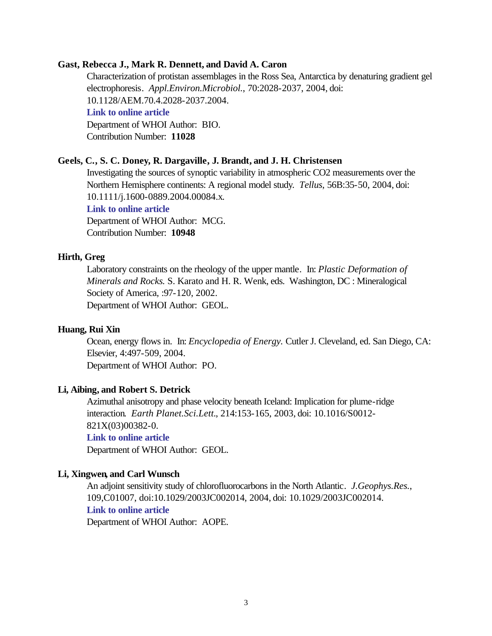## **Gast, Rebecca J., Mark R. Dennett, and David A. Caron**

Characterization of protistan assemblages in the Ross Sea, Antarctica by denaturing gradient gel electrophoresis. *Appl.Environ.Microbiol.*, 70:2028-2037, 2004, doi: 10.1128/AEM.70.4.2028-2037.2004. **[Link to online article](http://dx.doi.org/10.1128/AEM.70.4.2028-2037.2004)** Department of WHOI Author: BIO. Contribution Number: **11028**

#### **Geels, C., S. C. Doney, R. Dargaville, J. Brandt, and J. H. Christensen**

Investigating the sources of synoptic variability in atmospheric CO2 measurements over the Northern Hemisphere continents: A regional model study. *Tellus*, 56B:35-50, 2004, doi: 10.1111/j.1600-0889.2004.00084.x. **[Link to online article](http://dx.doi.org/10.1111/j.1600-0889.2004.00084.x)** Department of WHOI Author: MCG.

Contribution Number: **10948**

#### **Hirth, Greg**

Laboratory constraints on the rheology of the upper mantle. In: *Plastic Deformation of Minerals and Rocks.* S. Karato and H. R. Wenk, eds. Washington, DC : Mineralogical Society of America, :97-120, 2002. Department of WHOI Author: GEOL.

#### **Huang, Rui Xin**

Ocean, energy flows in. In: *Encyclopedia of Energy.* Cutler J. Cleveland, ed. San Diego, CA: Elsevier, 4:497-509, 2004. Department of WHOI Author: PO.

#### **Li, Aibing, and Robert S. Detrick**

Azimuthal anisotropy and phase velocity beneath Iceland: Implication for plume-ridge interaction. *Earth Planet.Sci.Lett.*, 214:153-165, 2003, doi: 10.1016/S0012- 821X(03)00382-0.

## **[Link to online article](http://dx.doi.org/10.1016/S0012-821X(03)00382-0)**

Department of WHOI Author: GEOL.

#### **Li, Xingwen, and Carl Wunsch**

An adjoint sensitivity study of chlorofluorocarbons in the North Atlantic. *J.Geophys.Res.*, 109,C01007, doi:10.1029/2003JC002014, 2004, doi: 10.1029/2003JC002014. **[Link to online article](http://dx.doi.org/10.1029/2003JC002014)**

Department of WHOI Author: AOPE.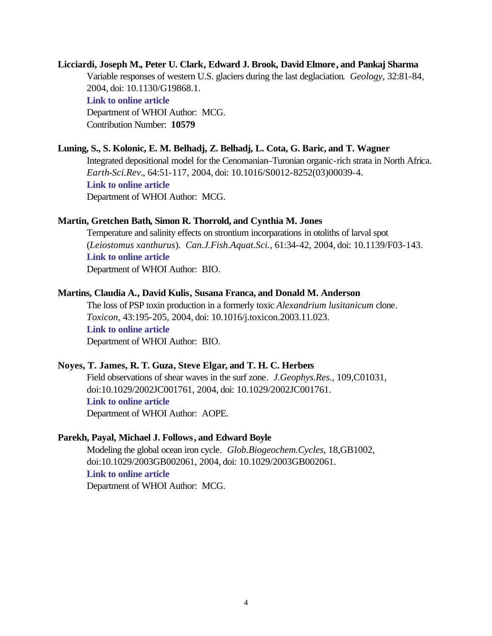## **Licciardi, Joseph M., Peter U. Clark, Edward J. Brook, David Elmore, and Pankaj Sharma** Variable responses of western U.S. glaciers during the last deglaciation. *Geology*, 32:81-84, 2004, doi: 10.1130/G19868.1.

**[Link to online article](http://dx.doi.org/10.1130/G19868.1)**

Department of WHOI Author: MCG. Contribution Number: **10579**

## **Luning, S., S. Kolonic, E. M. Belhadj, Z. Belhadj, L. Cota, G. Baric, and T. Wagner**

Integrated depositional model for the Cenomanian–Turonian organic-rich strata in North Africa. *Earth-Sci.Rev.*, 64:51-117, 2004, doi: 10.1016/S0012-8252(03)00039-4. **[Link to online article](http://dx.doi.org/10.1016/S0012-8252(03)00039-4)** Department of WHOI Author: MCG.

## **Martin, Gretchen Bath, Simon R. Thorrold, and Cynthia M. Jones**

Temperature and salinity effects on strontium incorparations in otoliths of larval spot (*Leiostomus xanthurus*). *Can.J.Fish.Aquat.Sci.*, 61:34-42, 2004, doi: 10.1139/F03-143. **[Link to online article](http://dx.doi.org/10.1139/F03-143)**

Department of WHOI Author: BIO.

## **Martins, Claudia A., David Kulis, Susana Franca, and Donald M. Anderson**

The loss of PSP toxin production in a formerly toxic *Alexandrium lusitanicum* clone. *Toxicon*, 43:195-205, 2004, doi: 10.1016/j.toxicon.2003.11.023. **[Link to online article](http://dx.doi.org/10.1016/j.toxicon.2003.11.023)** Department of WHOI Author: BIO.

## **Noyes, T. James, R. T. Guza, Steve Elgar, and T. H. C. Herbers**

Field observations of shear waves in the surf zone. *J.Geophys.Res.*, 109,C01031, doi:10.1029/2002JC001761, 2004, doi: 10.1029/2002JC001761. **[Link to online article](http://dx.doi.org/10.1029/2002JC001761)** Department of WHOI Author: AOPE.

## **Parekh, Payal, Michael J. Follows, and Edward Boyle**

Modeling the global ocean iron cycle. *Glob.Biogeochem.Cycles*, 18,GB1002, doi:10.1029/2003GB002061, 2004, doi: 10.1029/2003GB002061. **[Link to online article](http://dx.doi.org/10.1029/2003GB002061)** Department of WHOI Author: MCG.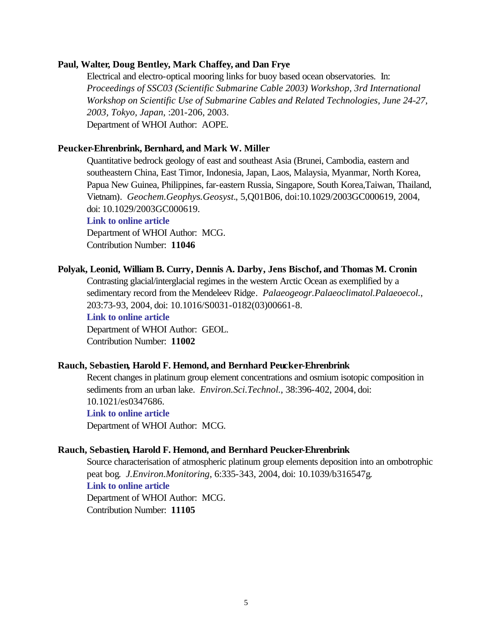#### **Paul, Walter, Doug Bentley, Mark Chaffey, and Dan Frye**

Electrical and electro-optical mooring links for buoy based ocean observatories. In: *Proceedings of SSC03 (Scientific Submarine Cable 2003) Workshop, 3rd International Workshop on Scientific Use of Submarine Cables and Related Technologies, June 24-27, 2003, Tokyo, Japan*, :201-206, 2003. Department of WHOI Author: AOPE.

#### **Peucker-Ehrenbrink, Bernhard, and Mark W. Miller**

Quantitative bedrock geology of east and southeast Asia (Brunei, Cambodia, eastern and southeastern China, East Timor, Indonesia, Japan, Laos, Malaysia, Myanmar, North Korea, Papua New Guinea, Philippines, far-eastern Russia, Singapore, South Korea,Taiwan, Thailand, Vietnam). *Geochem.Geophys.Geosyst.*, 5,Q01B06, doi:10.1029/2003GC000619, 2004, doi: 10.1029/2003GC000619.

## **[Link to online article](http://dx.doi.org/10.1029/2003GC000619)**

Department of WHOI Author: MCG. Contribution Number: **11046**

#### **Polyak, Leonid, William B. Curry, Dennis A. Darby, Jens Bischof, and Thomas M. Cronin**

Contrasting glacial/interglacial regimes in the western Arctic Ocean as exemplified by a sedimentary record from the Mendeleev Ridge. *Palaeogeogr.Palaeoclimatol.Palaeoecol.*, 203:73-93, 2004, doi: 10.1016/S0031-0182(03)00661-8.

**[Link to online article](http://dx.doi.org/10.1016/S0031-0182(03)00661-8)**

Department of WHOI Author: GEOL. Contribution Number: **11002**

## **Rauch, Sebastien, Harold F. Hemond, and Bernhard Peucker-Ehrenbrink**

Recent changes in platinum group element concentrations and osmium isotopic composition in sediments from an urban lake. *Environ.Sci.Technol.*, 38:396-402, 2004, doi: 10.1021/es0347686. **[Link to online article](http://dx.doi.org/10.1021/es0347686)** Department of WHOI Author: MCG.

#### **Rauch, Sebastien, Harold F. Hemond, and Bernhard Peucker-Ehrenbrink**

Source characterisation of atmospheric platinum group elements deposition into an ombotrophic peat bog. *J.Environ.Monitoring*, 6:335-343, 2004, doi: 10.1039/b316547g. **[Link to online article](http://dx.doi.org/10.1039/b316547g)** Department of WHOI Author: MCG. Contribution Number: **11105**